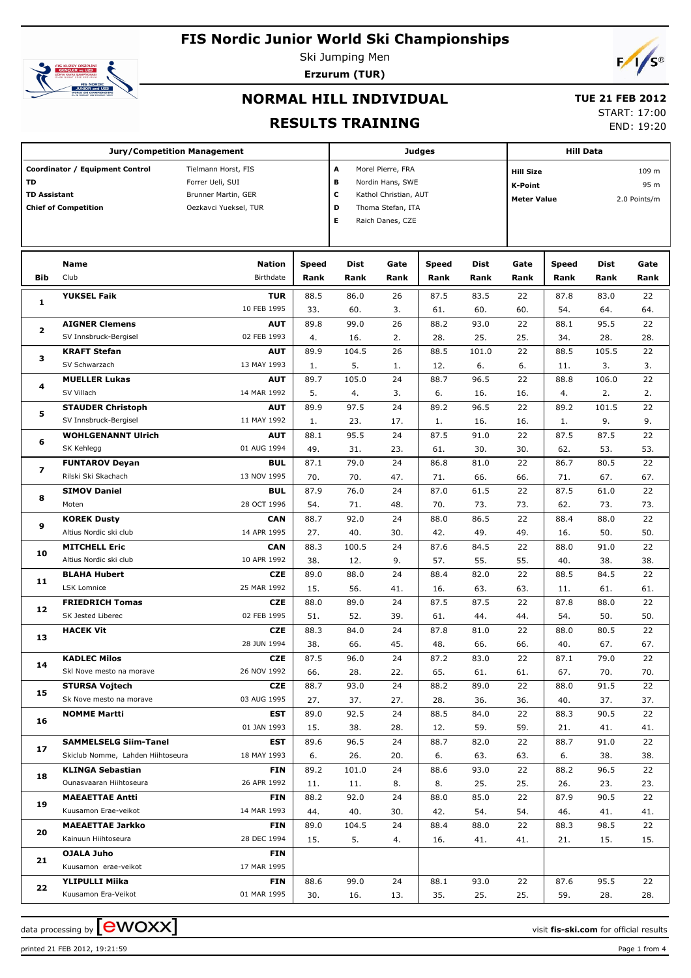

Ski Jumping Men **Erzurum (TUR)**



# **NORMAL HILL INDIVIDUAL**

# **TUE 21 FEB 2012**

**RESULTS TRAINING**

| START: 17:00 |            |
|--------------|------------|
|              | END: 19:20 |

| <b>Jury/Competition Management</b>                                                                                                                                   |                                                |                           |              |             | Judges                                                         |             |                |                                                                         |              | <b>Hill Data</b> |           |  |  |  |
|----------------------------------------------------------------------------------------------------------------------------------------------------------------------|------------------------------------------------|---------------------------|--------------|-------------|----------------------------------------------------------------|-------------|----------------|-------------------------------------------------------------------------|--------------|------------------|-----------|--|--|--|
| Coordinator / Equipment Control<br>Tielmann Horst, FIS<br><b>TD</b><br>Forrer Ueli, SUI<br><b>TD Assistant</b><br>Brunner Martin, GER<br><b>Chief of Competition</b> |                                                |                           |              |             | Morel Pierre, FRA<br>Nordin Hans, SWE<br>Kathol Christian, AUT |             | <b>K-Point</b> | <b>Hill Size</b><br>109 m<br>95 m<br>2.0 Points/m<br><b>Meter Value</b> |              |                  |           |  |  |  |
|                                                                                                                                                                      |                                                | Oezkavci Yueksel, TUR     |              | D<br>Е      | Thoma Stefan, ITA<br>Raich Danes, CZE                          |             |                |                                                                         |              |                  |           |  |  |  |
|                                                                                                                                                                      | Name                                           | <b>Nation</b>             | <b>Speed</b> | Dist        | Gate                                                           | Speed       | Dist           | Gate                                                                    | <b>Speed</b> | Dist             | Gate      |  |  |  |
| <b>Bib</b>                                                                                                                                                           | Club                                           | Birthdate                 | Rank         | Rank        | Rank                                                           | Rank        | Rank           | Rank                                                                    | Rank         | Rank             | Rank      |  |  |  |
| 1                                                                                                                                                                    | <b>YUKSEL Faik</b>                             | <b>TUR</b>                | 88.5         | 86.0        | 26                                                             | 87.5        | 83.5           | 22                                                                      | 87.8         | 83.0             | 22        |  |  |  |
|                                                                                                                                                                      |                                                | 10 FEB 1995               | 33.          | 60.         | 3.                                                             | 61.         | 60.            | 60.                                                                     | 54.          | 64.              | 64.       |  |  |  |
| $\overline{\mathbf{z}}$                                                                                                                                              | <b>AIGNER Clemens</b><br>SV Innsbruck-Bergisel | <b>AUT</b><br>02 FEB 1993 | 89.8<br>4.   | 99.0<br>16. | 26<br>2.                                                       | 88.2<br>28. | 93.0<br>25.    | 22<br>25.                                                               | 88.1<br>34.  | 95.5<br>28.      | 22<br>28. |  |  |  |
|                                                                                                                                                                      | <b>KRAFT Stefan</b>                            | <b>AUT</b>                | 89.9         | 104.5       | 26                                                             | 88.5        | 101.0          | 22                                                                      | 88.5         | 105.5            | 22        |  |  |  |
| з                                                                                                                                                                    | SV Schwarzach                                  | 13 MAY 1993               | 1.           | 5.          | 1.                                                             | 12.         | 6.             | 6.                                                                      | 11.          | 3.               | 3.        |  |  |  |
|                                                                                                                                                                      | <b>MUELLER Lukas</b>                           | <b>AUT</b>                | 89.7         | 105.0       | 24                                                             | 88.7        | 96.5           | 22                                                                      | 88.8         | 106.0            | 22        |  |  |  |
| 4                                                                                                                                                                    | SV Villach                                     | 14 MAR 1992               | 5.           | 4.          | 3.                                                             | 6.          | 16.            | 16.                                                                     | 4.           | 2.               | 2.        |  |  |  |
|                                                                                                                                                                      | <b>STAUDER Christoph</b>                       | <b>AUT</b>                | 89.9         | 97.5        | 24                                                             | 89.2        | 96.5           | 22                                                                      | 89.2         | 101.5            | 22        |  |  |  |
| 5                                                                                                                                                                    | SV Innsbruck-Bergisel                          | 11 MAY 1992               | 1.           | 23.         | 17.                                                            | 1.          | 16.            | 16.                                                                     | 1.           | 9.               | 9.        |  |  |  |
|                                                                                                                                                                      | <b>WOHLGENANNT Ulrich</b>                      | <b>AUT</b>                | 88.1         | 95.5        | 24                                                             | 87.5        | 91.0           | 22                                                                      | 87.5         | 87.5             | 22        |  |  |  |
| 6                                                                                                                                                                    | SK Kehlegg                                     | 01 AUG 1994               | 49.          | 31.         | 23.                                                            | 61.         | 30.            | 30.                                                                     | 62.          | 53.              | 53.       |  |  |  |
| 7                                                                                                                                                                    | <b>FUNTAROV Deyan</b>                          | <b>BUL</b>                | 87.1         | 79.0        | 24                                                             | 86.8        | 81.0           | 22                                                                      | 86.7         | 80.5             | 22        |  |  |  |
|                                                                                                                                                                      | Rilski Ski Skachach                            | 13 NOV 1995               | 70.          | 70.         | 47.                                                            | 71.         | 66.            | 66.                                                                     | 71.          | 67.              | 67.       |  |  |  |
| 8                                                                                                                                                                    | <b>SIMOV Daniel</b>                            | <b>BUL</b>                | 87.9         | 76.0        | 24                                                             | 87.0        | 61.5           | 22                                                                      | 87.5         | 61.0             | 22        |  |  |  |
|                                                                                                                                                                      | Moten                                          | 28 OCT 1996               | 54.          | 71.         | 48.                                                            | 70.         | 73.            | 73.                                                                     | 62.          | 73.              | 73.       |  |  |  |
| 9                                                                                                                                                                    | <b>KOREK Dusty</b>                             | <b>CAN</b>                | 88.7         | 92.0        | 24                                                             | 88.0        | 86.5           | 22                                                                      | 88.4         | 88.0             | 22        |  |  |  |
|                                                                                                                                                                      | Altius Nordic ski club                         | 14 APR 1995               | 27.          | 40.         | 30.                                                            | 42.         | 49.            | 49.                                                                     | 16.          | 50.              | 50.       |  |  |  |
| 10                                                                                                                                                                   | <b>MITCHELL Eric</b>                           | <b>CAN</b>                | 88.3         | 100.5       | 24                                                             | 87.6        | 84.5           | 22                                                                      | 88.0         | 91.0             | 22        |  |  |  |
|                                                                                                                                                                      | Altius Nordic ski club                         | 10 APR 1992               | 38.          | 12.         | 9.                                                             | 57.         | 55.            | 55.                                                                     | 40.          | 38.              | 38.       |  |  |  |
| 11                                                                                                                                                                   | <b>BLAHA Hubert</b>                            | <b>CZE</b>                | 89.0         | 88.0        | 24                                                             | 88.4        | 82.0           | 22                                                                      | 88.5         | 84.5             | 22        |  |  |  |
|                                                                                                                                                                      | LSK Lomnice                                    | 25 MAR 1992               | 15.          | 56.         | 41.                                                            | 16.         | 63.            | 63.                                                                     | 11.          | 61.              | 61.       |  |  |  |
| 12                                                                                                                                                                   | <b>FRIEDRICH Tomas</b><br>SK Jested Liberec    | <b>CZE</b><br>02 FEB 1995 | 88.0<br>51.  | 89.0<br>52. | 24<br>39.                                                      | 87.5<br>61. | 87.5<br>44.    | 22<br>44.                                                               | 87.8<br>54.  | 88.0<br>50.      | 22<br>50. |  |  |  |
|                                                                                                                                                                      | <b>HACEK Vit</b>                               | <b>CZE</b>                | 88.3         | 84.0        | 24                                                             | 87.8        | 81.0           | 22                                                                      | 88.0         | 80.5             | 22        |  |  |  |
| 13                                                                                                                                                                   |                                                | 28 JUN 1994               | 38.          | 66.         | 45.                                                            | 48.         | 66.            | 66.                                                                     | 40.          | 67.              | 67.       |  |  |  |
|                                                                                                                                                                      | <b>KADLEC Milos</b>                            | <b>CZE</b>                | 87.5         | 96.0        | 24                                                             | 87.2        | 83.0           | 22                                                                      | 87.1         | 79.0             | 22        |  |  |  |
| 14                                                                                                                                                                   | Skl Nove mesto na morave                       | 26 NOV 1992               | 66.          | 28.         | 22.                                                            | 65.         | 61.            | 61.                                                                     | 67.          | 70.              | 70.       |  |  |  |
|                                                                                                                                                                      | <b>STURSA Vojtech</b>                          | <b>CZE</b>                | 88.7         | 93.0        | 24                                                             | 88.2        | 89.0           | 22                                                                      | 88.0         | 91.5             | 22        |  |  |  |
| 15                                                                                                                                                                   | Sk Nove mesto na morave                        | 03 AUG 1995               | 27.          | 37.         | 27.                                                            | 28.         | 36.            | 36.                                                                     | 40.          | 37.              | 37.       |  |  |  |
|                                                                                                                                                                      | <b>NOMME Martti</b>                            | EST                       | 89.0         | 92.5        | 24                                                             | 88.5        | 84.0           | 22                                                                      | 88.3         | 90.5             | 22        |  |  |  |
| 16                                                                                                                                                                   |                                                | 01 JAN 1993               | 15.          | 38.         | 28.                                                            | 12.         | 59.            | 59.                                                                     | 21.          | 41.              | 41.       |  |  |  |
| 17                                                                                                                                                                   | <b>SAMMELSELG Siim-Tanel</b>                   | <b>EST</b>                | 89.6         | 96.5        | 24                                                             | 88.7        | 82.0           | 22                                                                      | 88.7         | 91.0             | 22        |  |  |  |
|                                                                                                                                                                      | Skiclub Nomme, Lahden Hiihtoseura              | 18 MAY 1993               | 6.           | 26.         | 20.                                                            | 6.          | 63.            | 63.                                                                     | 6.           | 38.              | 38.       |  |  |  |
| 18                                                                                                                                                                   | <b>KLINGA Sebastian</b>                        | <b>FIN</b>                | 89.2         | 101.0       | 24                                                             | 88.6        | 93.0           | 22                                                                      | 88.2         | 96.5             | 22        |  |  |  |
|                                                                                                                                                                      | Ounasvaaran Hiihtoseura                        | 26 APR 1992               | 11.          | 11.         | 8.                                                             | 8.          | 25.            | 25.                                                                     | 26.          | 23.              | 23.       |  |  |  |
| 19                                                                                                                                                                   | <b>MAEAETTAE Antti</b>                         | <b>FIN</b>                | 88.2         | 92.0        | 24                                                             | 88.0        | 85.0           | 22                                                                      | 87.9         | 90.5             | 22        |  |  |  |
|                                                                                                                                                                      | Kuusamon Erae-veikot                           | 14 MAR 1993               | 44.          | 40.         | 30.                                                            | 42.         | 54.            | 54.                                                                     | 46.          | 41.              | 41.       |  |  |  |
| 20                                                                                                                                                                   | <b>MAEAETTAE Jarkko</b><br>Kainuun Hiihtoseura | <b>FIN</b><br>28 DEC 1994 | 89.0         | 104.5       | 24                                                             | 88.4        | 88.0           | 22                                                                      | 88.3         | 98.5             | 22        |  |  |  |
|                                                                                                                                                                      | OJALA Juho                                     | <b>FIN</b>                | 15.          | 5.          | 4.                                                             | 16.         | 41.            | 41.                                                                     | 21.          | 15.              | 15.       |  |  |  |
| 21                                                                                                                                                                   | Kuusamon erae-veikot                           | 17 MAR 1995               |              |             |                                                                |             |                |                                                                         |              |                  |           |  |  |  |
|                                                                                                                                                                      | <b>YLIPULLI Miika</b>                          | <b>FIN</b>                | 88.6         | 99.0        | 24                                                             | 88.1        | 93.0           | 22                                                                      | 87.6         | 95.5             | 22        |  |  |  |
| 22                                                                                                                                                                   | Kuusamon Era-Veikot                            | 01 MAR 1995               | 30.          | 16.         | 13.                                                            | 35.         | 25.            | 25.                                                                     | 59.          | 28.              | 28.       |  |  |  |

printed 21 FEB 2012, 19:21:59 Page 1 from 4

data processing by **CWOXX** and the visit fis-ski.com for official results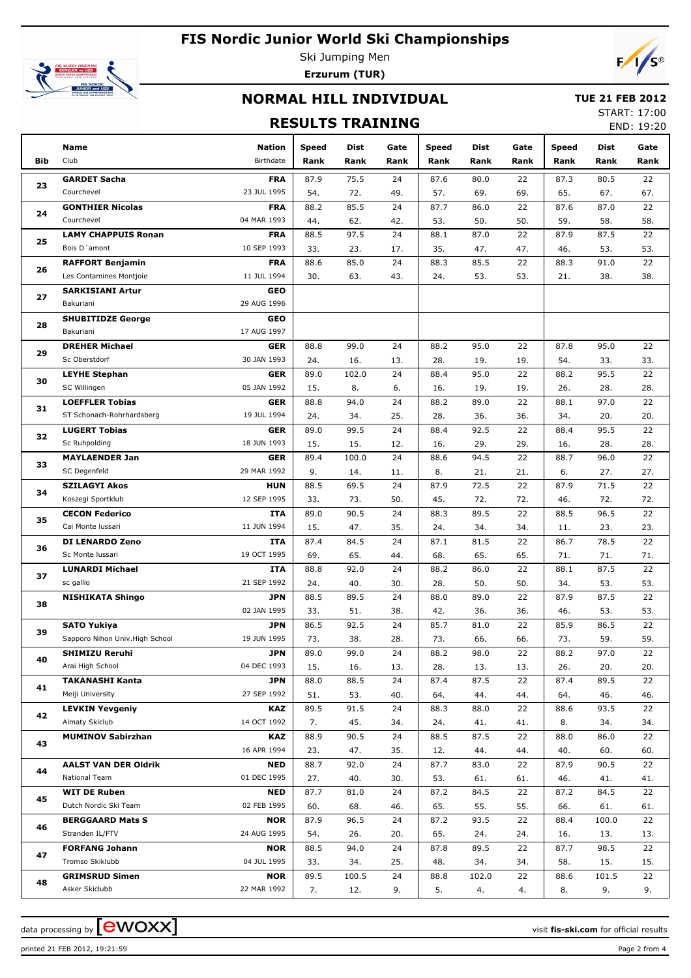

Ski Jumping Men **Erzurum (TUR)**



### **NORMAL HILL INDIVIDUAL**

### **TUE 21 FEB 2012**

### **RESULTS TRAINING**

START: 17:00 END: 19:20

|            | <b>Name</b>                     | <b>Nation</b> | Speed | Dist  | Gate | Speed | Dist  | Gate | Speed | Dist  | Gate |
|------------|---------------------------------|---------------|-------|-------|------|-------|-------|------|-------|-------|------|
| <b>Bib</b> | Club                            | Birthdate     | Rank  | Rank  | Rank | Rank  | Rank  | Rank | Rank  | Rank  | Rank |
|            | <b>GARDET Sacha</b>             | <b>FRA</b>    | 87.9  | 75.5  | 24   | 87.6  | 80.0  | 22   | 87.3  | 80.5  | 22   |
| 23         | Courchevel                      | 23 JUL 1995   | 54.   | 72.   | 49.  | 57.   | 69.   | 69.  | 65.   | 67.   | 67.  |
|            | <b>GONTHIER Nicolas</b>         | <b>FRA</b>    | 88.2  | 85.5  | 24   | 87.7  | 86.0  | 22   | 87.6  | 87.0  | 22   |
| 24         | Courchevel                      | 04 MAR 1993   | 44.   | 62.   | 42.  | 53.   | 50.   | 50.  | 59.   | 58.   | 58.  |
|            | <b>LAMY CHAPPUIS Ronan</b>      | <b>FRA</b>    | 88.5  | 97.5  | 24   | 88.1  | 87.0  | 22   | 87.9  | 87.5  | 22   |
| 25         | Bois D'amont                    | 10 SEP 1993   | 33.   | 23.   | 17.  | 35.   | 47.   | 47.  | 46.   | 53.   | 53.  |
|            | <b>RAFFORT Benjamin</b>         | <b>FRA</b>    | 88.6  | 85.0  | 24   | 88.3  | 85.5  | 22   | 88.3  | 91.0  | 22   |
| 26         | Les Contamines Montjoie         | 11 JUL 1994   | 30.   | 63.   | 43.  | 24.   | 53.   | 53.  | 21.   | 38.   | 38.  |
|            | <b>SARKISIANI Artur</b>         | <b>GEO</b>    |       |       |      |       |       |      |       |       |      |
| 27         | Bakuriani                       | 29 AUG 1996   |       |       |      |       |       |      |       |       |      |
|            | <b>SHUBITIDZE George</b>        | <b>GEO</b>    |       |       |      |       |       |      |       |       |      |
| 28         | Bakuriani                       | 17 AUG 1997   |       |       |      |       |       |      |       |       |      |
|            | <b>DREHER Michael</b>           | <b>GER</b>    | 88.8  | 99.0  | 24   | 88.2  | 95.0  | 22   | 87.8  | 95.0  | 22   |
| 29         | Sc Oberstdorf                   | 30 JAN 1993   | 24.   | 16.   | 13.  | 28.   | 19.   | 19.  | 54.   | 33.   | 33.  |
|            | <b>LEYHE Stephan</b>            | <b>GER</b>    | 89.0  | 102.0 | 24   | 88.4  | 95.0  | 22   | 88.2  | 95.5  | 22   |
| 30         | SC Willingen                    | 05 JAN 1992   | 15.   | 8.    | 6.   | 16.   | 19.   | 19.  | 26.   | 28.   | 28.  |
|            | <b>LOEFFLER Tobias</b>          | <b>GER</b>    | 88.8  | 94.0  | 24   | 88.2  | 89.0  | 22   | 88.1  | 97.0  | 22   |
| 31         | ST Schonach-Rohrhardsberg       | 19 JUL 1994   | 24.   | 34.   | 25.  | 28.   | 36.   | 36.  | 34.   | 20.   | 20.  |
|            | <b>LUGERT Tobias</b>            | <b>GER</b>    | 89.0  | 99.5  | 24   | 88.4  | 92.5  | 22   | 88.4  | 95.5  | 22   |
| 32         | Sc Ruhpolding                   | 18 JUN 1993   | 15.   | 15.   | 12.  | 16.   | 29.   | 29.  | 16.   | 28.   | 28.  |
|            | <b>MAYLAENDER Jan</b>           | <b>GER</b>    | 89.4  | 100.0 | 24   | 88.6  | 94.5  | 22   | 88.7  | 96.0  | 22   |
| 33         | SC Degenfeld                    | 29 MAR 1992   | 9.    | 14.   | 11.  | 8.    | 21.   | 21.  | 6.    | 27.   | 27.  |
|            | <b>SZILAGYI Akos</b>            | <b>HUN</b>    | 88.5  | 69.5  | 24   | 87.9  | 72.5  | 22   | 87.9  | 71.5  | 22   |
| 34         | Koszegi Sportklub               | 12 SEP 1995   | 33.   | 73.   | 50.  | 45.   | 72.   | 72.  | 46.   | 72.   | 72.  |
|            | <b>CECON Federico</b>           | <b>ITA</b>    | 89.0  | 90.5  | 24   | 88.3  | 89.5  | 22   | 88.5  | 96.5  | 22   |
| 35         | Cai Monte Iussari               | 11 JUN 1994   | 15.   | 47.   | 35.  | 24.   | 34.   | 34.  | 11.   | 23.   | 23.  |
|            | DI LENARDO Zeno                 | <b>ITA</b>    | 87.4  | 84.5  | 24   | 87.1  | 81.5  | 22   | 86.7  | 78.5  | 22   |
| 36         | Sc Monte Iussari                | 19 OCT 1995   | 69.   | 65.   | 44.  | 68.   | 65.   | 65.  | 71.   | 71.   | 71.  |
|            | <b>LUNARDI Michael</b>          | ITA           | 88.8  | 92.0  | 24   | 88.2  | 86.0  | 22   | 88.1  | 87.5  | 22   |
| 37         | sc gallio                       | 21 SEP 1992   | 24.   | 40.   | 30.  | 28.   | 50.   | 50.  | 34.   | 53.   | 53.  |
| 38         | <b>NISHIKATA Shingo</b>         | <b>JPN</b>    | 88.5  | 89.5  | 24   | 88.0  | 89.0  | 22   | 87.9  | 87.5  | 22   |
|            |                                 | 02 JAN 1995   | 33.   | 51.   | 38.  | 42.   | 36.   | 36.  | 46.   | 53.   | 53.  |
| 39         | <b>SATO Yukiya</b>              | <b>JPN</b>    | 86.5  | 92.5  | 24   | 85.7  | 81.0  | 22   | 85.9  | 86.5  | 22   |
|            | Sapporo Nihon Univ. High School | 19 JUN 1995   | 73.   | 38.   | 28.  | 73.   | 66.   | 66.  | 73.   | 59.   | 59.  |
| 40         | <b>SHIMIZU Reruhi</b>           | JPN           | 89.0  | 99.0  | 24   | 88.2  | 98.0  | 22   | 88.2  | 97.0  | 22   |
|            | Arai High School                | 04 DEC 1993   | 15.   | 16.   | 13.  | 28.   | 13.   | 13.  | 26.   | 20.   | 20.  |
| 41         | <b>TAKANASHI Kanta</b>          | <b>JPN</b>    | 88.0  | 88.5  | 24   | 87.4  | 87.5  | 22   | 87.4  | 89.5  | 22   |
|            | Meiji University                | 27 SEP 1992   | 51.   | 53.   | 40.  | 64.   | 44.   | 44.  | 64.   | 46.   | 46.  |
| 42         | <b>LEVKIN Yevgeniy</b>          | <b>KAZ</b>    | 89.5  | 91.5  | 24   | 88.3  | 88.0  | 22   | 88.6  | 93.5  | 22   |
|            | Almaty Skiclub                  | 14 OCT 1992   | 7.    | 45.   | 34.  | 24.   | 41.   | 41.  | 8.    | 34.   | 34.  |
| 43         | <b>MUMINOV Sabirzhan</b>        | <b>KAZ</b>    | 88.9  | 90.5  | 24   | 88.5  | 87.5  | 22   | 88.0  | 86.0  | 22   |
|            |                                 | 16 APR 1994   | 23.   | 47.   | 35.  | 12.   | 44.   | 44.  | 40.   | 60.   | 60.  |
| 44         | <b>AALST VAN DER Oldrik</b>     | NED           | 88.7  | 92.0  | 24   | 87.7  | 83.0  | 22   | 87.9  | 90.5  | 22   |
|            | National Team                   | 01 DEC 1995   | 27.   | 40.   | 30.  | 53.   | 61.   | 61.  | 46.   | 41.   | 41.  |
| 45         | <b>WIT DE Ruben</b>             | NED           | 87.7  | 81.0  | 24   | 87.2  | 84.5  | 22   | 87.2  | 84.5  | 22   |
|            | Dutch Nordic Ski Team           | 02 FEB 1995   | 60.   | 68.   | 46.  | 65.   | 55.   | 55.  | 66.   | 61.   | 61.  |
| 46         | <b>BERGGAARD Mats S</b>         | <b>NOR</b>    | 87.9  | 96.5  | 24   | 87.2  | 93.5  | 22   | 88.4  | 100.0 | 22   |
|            | Stranden IL/FTV                 | 24 AUG 1995   | 54.   | 26.   | 20.  | 65.   | 24.   | 24.  | 16.   | 13.   | 13.  |
| 47         | <b>FORFANG Johann</b>           | <b>NOR</b>    | 88.5  | 94.0  | 24   | 87.8  | 89.5  | 22   | 87.7  | 98.5  | 22   |
|            | Tromso Skiklubb                 | 04 JUL 1995   | 33.   | 34.   | 25.  | 48.   | 34.   | 34.  | 58.   | 15.   | 15.  |
| 48         | <b>GRIMSRUD Simen</b>           | <b>NOR</b>    | 89.5  | 100.5 | 24   | 88.8  | 102.0 | 22   | 88.6  | 101.5 | 22   |
|            | Asker Skiclubb                  | 22 MAR 1992   | 7.    | 12.   | 9.   | 5.    | 4.    | 4.   | 8.    | 9.    | 9.   |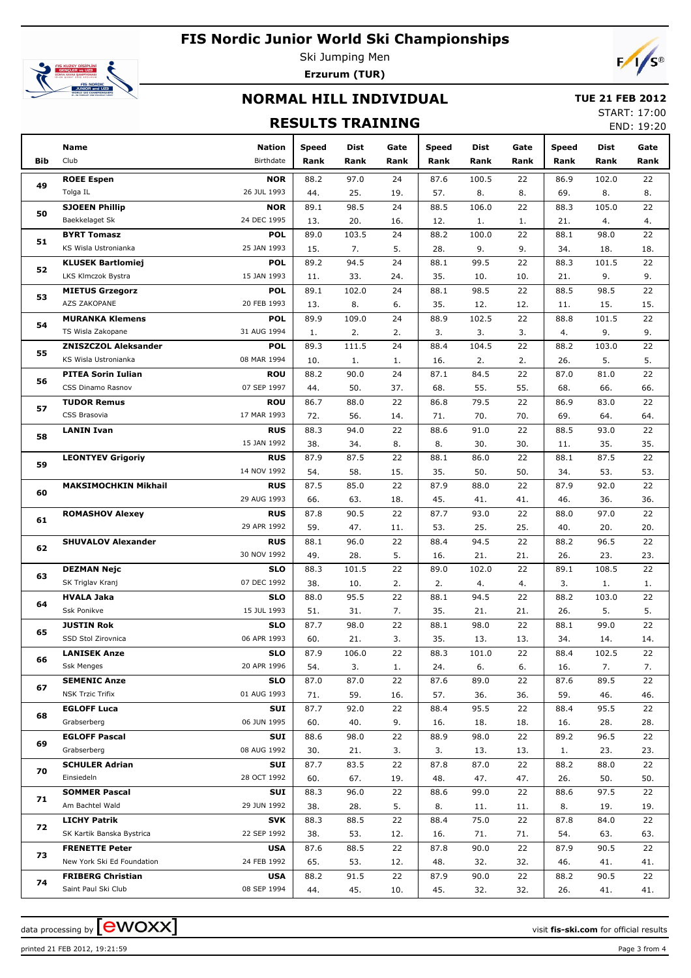

Ski Jumping Men **Erzurum (TUR)**



### **NORMAL HILL INDIVIDUAL**

#### **TUE 21 FEB 2012**

### **RESULTS TRAINING**

START: 17:00 END: 19:20

|     | Name                                           | <b>Nation</b>             | Speed       | Dist        | Gate      | Speed       | Dist        | Gate      | <b>Speed</b> | Dist        | Gate      |
|-----|------------------------------------------------|---------------------------|-------------|-------------|-----------|-------------|-------------|-----------|--------------|-------------|-----------|
| Bib | Club                                           | Birthdate                 | Rank        | Rank        | Rank      | Rank        | Rank        | Rank      | Rank         | Rank        | Rank      |
|     | <b>ROEE Espen</b>                              | <b>NOR</b>                | 88.2        | 97.0        | 24        | 87.6        | 100.5       | 22        | 86.9         | 102.0       | 22        |
| 49  | Tolga IL                                       | 26 JUL 1993               | 44.         | 25.         | 19.       | 57.         | 8.          | 8.        | 69.          | 8.          | 8.        |
|     | <b>SJOEEN Phillip</b>                          | <b>NOR</b>                | 89.1        | 98.5        | 24        | 88.5        | 106.0       | 22        | 88.3         | 105.0       | 22        |
| 50  | Baekkelaget Sk                                 | 24 DEC 1995               | 13.         | 20.         | 16.       | 12.         | 1.          | 1.        | 21.          | 4.          | 4.        |
|     | <b>BYRT Tomasz</b>                             | <b>POL</b>                | 89.0        | 103.5       | 24        | 88.2        | 100.0       | 22        | 88.1         | 98.0        | 22        |
| 51  | KS Wisla Ustronianka                           | 25 JAN 1993               | 15.         | 7.          | 5.        | 28.         | 9.          | 9.        | 34.          | 18.         | 18.       |
| 52  | <b>KLUSEK Bartlomiej</b>                       | <b>POL</b>                | 89.2        | 94.5        | 24        | 88.1        | 99.5        | 22        | 88.3         | 101.5       | 22        |
|     | LKS Klmczok Bystra                             | 15 JAN 1993               | 11.         | 33.         | 24.       | 35.         | 10.         | 10.       | 21.          | 9.          | 9.        |
| 53  | <b>MIETUS Grzegorz</b>                         | <b>POL</b>                | 89.1        | 102.0       | 24        | 88.1        | 98.5        | 22        | 88.5         | 98.5        | 22        |
|     | AZS ZAKOPANE                                   | 20 FEB 1993               | 13.         | 8.          | 6.        | 35.         | 12.         | 12.       | 11.          | 15.         | 15.       |
| 54  | <b>MURANKA Klemens</b>                         | <b>POL</b>                | 89.9        | 109.0       | 24        | 88.9        | 102.5       | 22        | 88.8         | 101.5       | 22        |
|     | TS Wisla Zakopane                              | 31 AUG 1994               | 1.          | 2.          | 2.        | 3.          | 3.          | 3.        | 4.           | 9.          | 9.        |
| 55  | <b>ZNISZCZOL Aleksander</b>                    | <b>POL</b>                | 89.3        | 111.5       | 24        | 88.4        | 104.5       | 22        | 88.2         | 103.0       | 22        |
|     | KS Wisla Ustronianka                           | 08 MAR 1994               | 10.         | 1.          | 1.        | 16.         | 2.          | 2.        | 26.          | 5.          | 5.        |
| 56  | <b>PITEA Sorin Iulian</b>                      | <b>ROU</b>                | 88.2        | 90.0        | 24        | 87.1        | 84.5        | 22        | 87.0         | 81.0        | 22        |
|     | CSS Dinamo Rasnov                              | 07 SEP 1997               | 44.         | 50.         | 37.       | 68.         | 55.         | 55.       | 68.          | 66.         | 66.       |
| 57  | <b>TUDOR Remus</b><br>CSS Brasovia             | <b>ROU</b><br>17 MAR 1993 | 86.7        | 88.0        | 22        | 86.8        | 79.5        | 22        | 86.9         | 83.0        | 22        |
|     | <b>LANIN Ivan</b>                              | <b>RUS</b>                | 72.         | 56.<br>94.0 | 14.<br>22 | 71.<br>88.6 | 70.<br>91.0 | 70.<br>22 | 69.<br>88.5  | 64.<br>93.0 | 64.<br>22 |
| 58  |                                                | 15 JAN 1992               | 88.3<br>38. | 34.         | 8.        | 8.          | 30.         | 30.       | 11.          | 35.         | 35.       |
|     | <b>LEONTYEV Grigoriy</b>                       | <b>RUS</b>                | 87.9        | 87.5        | 22        | 88.1        | 86.0        | 22        | 88.1         | 87.5        | 22        |
| 59  |                                                | 14 NOV 1992               | 54.         | 58.         | 15.       | 35.         | 50.         | 50.       | 34.          | 53.         | 53.       |
|     | <b>MAKSIMOCHKIN Mikhail</b>                    | <b>RUS</b>                | 87.5        | 85.0        | 22        | 87.9        | 88.0        | 22        | 87.9         | 92.0        | 22        |
| 60  |                                                | 29 AUG 1993               | 66.         | 63.         | 18.       | 45.         | 41.         | 41.       | 46.          | 36.         | 36.       |
|     | <b>ROMASHOV Alexey</b>                         | <b>RUS</b>                | 87.8        | 90.5        | 22        | 87.7        | 93.0        | 22        | 88.0         | 97.0        | 22        |
| 61  |                                                | 29 APR 1992               | 59.         | 47.         | 11.       | 53.         | 25.         | 25.       | 40.          | 20.         | 20.       |
|     | <b>SHUVALOV Alexander</b>                      | <b>RUS</b>                | 88.1        | 96.0        | 22        | 88.4        | 94.5        | 22        | 88.2         | 96.5        | 22        |
| 62  |                                                | 30 NOV 1992               | 49.         | 28.         | 5.        | 16.         | 21.         | 21.       | 26.          | 23.         | 23.       |
| 63  | <b>DEZMAN Nejc</b>                             | <b>SLO</b>                | 88.3        | 101.5       | 22        | 89.0        | 102.0       | 22        | 89.1         | 108.5       | 22        |
|     | SK Triglav Kranj                               | 07 DEC 1992               | 38.         | 10.         | 2.        | 2.          | 4.          | 4.        | 3.           | 1.          | 1.        |
| 64  | <b>HVALA Jaka</b>                              | <b>SLO</b>                | 88.0        | 95.5        | 22        | 88.1        | 94.5        | 22        | 88.2         | 103.0       | 22        |
|     | Ssk Ponikve                                    | 15 JUL 1993               | 51.         | 31.         | 7.        | 35.         | 21.         | 21.       | 26.          | 5.          | 5.        |
| 65  | <b>JUSTIN Rok</b>                              | <b>SLO</b>                | 87.7        | 98.0        | 22        | 88.1        | 98.0        | 22        | 88.1         | 99.0        | 22        |
|     | SSD Stol Zirovnica                             | 06 APR 1993               | 60.         | 21.         | 3.        | 35.         | 13.         | 13.       | 34.          | 14.         | 14.       |
| 66  | <b>LANISEK Anze</b>                            | SLO                       | 87.9        | 106.0       | 22        | 88.3        | 101.0       | 22        | 88.4         | 102.5       | 22        |
|     | Ssk Menges                                     | 20 APR 1996               | 54.         | 3.          | 1.        | 24.         | 6.          | 6.        | 16.          | 7.          | 7.        |
| 67  | <b>SEMENIC Anze</b><br><b>NSK Trzic Trifix</b> | <b>SLO</b><br>01 AUG 1993 | 87.0        | 87.0        | 22        | 87.6        | 89.0        | 22        | 87.6         | 89.5        | 22        |
|     | <b>EGLOFF Luca</b>                             | SUI                       | 71.<br>87.7 | 59.<br>92.0 | 16.<br>22 | 57.<br>88.4 | 36.<br>95.5 | 36.<br>22 | 59.<br>88.4  | 46.<br>95.5 | 46.<br>22 |
| 68  | Grabserberg                                    | 06 JUN 1995               | 60.         | 40.         | 9.        | 16.         | 18.         | 18.       | 16.          | 28.         | 28.       |
|     | <b>EGLOFF Pascal</b>                           | SUI                       | 88.6        | 98.0        | 22        | 88.9        | 98.0        | 22        | 89.2         | 96.5        | 22        |
| 69  | Grabserberg                                    | 08 AUG 1992               | 30.         | 21.         | 3.        | 3.          | 13.         | 13.       | 1.           | 23.         | 23.       |
|     | <b>SCHULER Adrian</b>                          | SUI                       | 87.7        | 83.5        | 22        | 87.8        | 87.0        | 22        | 88.2         | 88.0        | 22        |
| 70  | Einsiedeln                                     | 28 OCT 1992               | 60.         | 67.         | 19.       | 48.         | 47.         | 47.       | 26.          | 50.         | 50.       |
|     | <b>SOMMER Pascal</b>                           | SUI                       | 88.3        | 96.0        | 22        | 88.6        | 99.0        | 22        | 88.6         | 97.5        | 22        |
| 71  | Am Bachtel Wald                                | 29 JUN 1992               | 38.         | 28.         | 5.        | 8.          | 11.         | 11.       | 8.           | 19.         | 19.       |
|     | <b>LICHY Patrik</b>                            | <b>SVK</b>                | 88.3        | 88.5        | 22        | 88.4        | 75.0        | 22        | 87.8         | 84.0        | 22        |
| 72  | SK Kartik Banska Bystrica                      | 22 SEP 1992               | 38.         | 53.         | 12.       | 16.         | 71.         | 71.       | 54.          | 63.         | 63.       |
|     | <b>FRENETTE Peter</b>                          | <b>USA</b>                | 87.6        | 88.5        | 22        | 87.8        | 90.0        | 22        | 87.9         | 90.5        | 22        |
| 73  | New York Ski Ed Foundation                     | 24 FEB 1992               | 65.         | 53.         | 12.       | 48.         | 32.         | 32.       | 46.          | 41.         | 41.       |
| 74  | <b>FRIBERG Christian</b>                       | <b>USA</b>                | 88.2        | 91.5        | 22        | 87.9        | 90.0        | 22        | 88.2         | 90.5        | 22        |
|     | Saint Paul Ski Club                            | 08 SEP 1994               | 44.         | 45.         | 10.       | 45.         | 32.         | 32.       | 26.          | 41.         | 41.       |

printed 21 FEB 2012, 19:21:59 Page 3 from 4

data processing by  $\boxed{\text{ewOX}}$